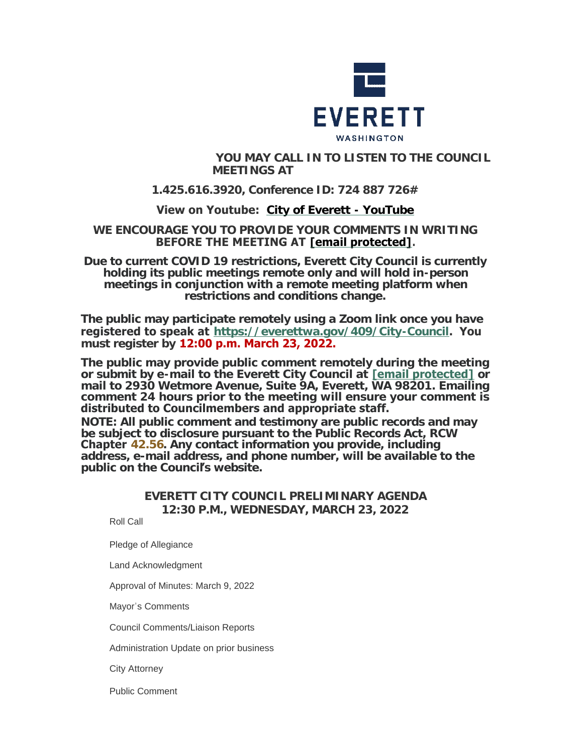

### **YOU MAY CALL IN TO LISTEN TO THE COUNCIL MEETINGS AT**

# **1.425.616.3920, Conference ID: 724 887 726#**

# **View on Youtube: [City of Everett - YouTube](https://www.youtube.com/c/EverettCity)**

### **WE ENCOURAGE YOU TO PROVIDE YOUR COMMENTS IN WRITING BEFORE THE MEETING AT [\[email protected\]](https://www.everettwa.gov/cdn-cgi/l/email-protection#7a39352f343933363a3f2c3f283f2e2e2d3b543d352c).**

**Due to current COVID 19 restrictions, Everett City Council is currently holding its public meetings remote only and will hold in-person meetings in conjunction with a remote meeting platform when restrictions and conditions change.**

**The public may participate remotely using a Zoom link once you have registered to speak at <https://everettwa.gov/409/City-Council>. You must register by 12:00 p.m. March 23, 2022.** 

**The public may provide public comment remotely during the meeting or submit by e-mail to the Everett City Council at [\[email protected\]](https://www.everettwa.gov/cdn-cgi/l/email-protection) or mail to 2930 Wetmore Avenue, Suite 9A, Everett, WA 98201. Emailing comment 24 hours prior to the meeting will ensure your comment is distributed to Councilmembers and appropriate staff.** 

*NOTE: All public comment and testimony are public records and may be subject to disclosure pursuant to the Public Records Act, RCW*  **Chapter** *[42.56](https://apps.leg.wa.gov/rcw/default.aspx?cite=42.56). Any contact information you provide, including address, e-mail address, and phone number, will be available to the public on the Council***'***s website.*

# **EVERETT CITY COUNCIL PRELIMINARY AGENDA 12:30 P.M., WEDNESDAY, MARCH 23, 2022**

Roll Call

Pledge of Allegiance

Land Acknowledgment

Approval of Minutes: March 9, 2022

Mayor's Comments

Council Comments/Liaison Reports

Administration Update on prior business

City Attorney

Public Comment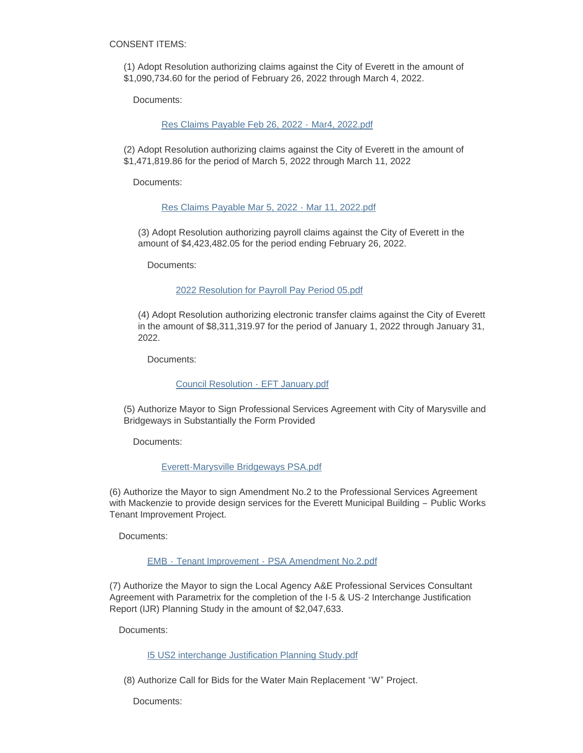CONSENT ITEMS:

(1) Adopt Resolution authorizing claims against the City of Everett in the amount of \$1,090,734.60 for the period of February 26, 2022 through March 4, 2022.

Documents:

[Res Claims Payable Feb 26, 2022 -](https://www.everettwa.gov/AgendaCenter/ViewFile/Item/13496?fileID=80065) Mar4, 2022.pdf

(2) Adopt Resolution authorizing claims against the City of Everett in the amount of \$1,471,819.86 for the period of March 5, 2022 through March 11, 2022

Documents:

[Res Claims Payable Mar 5, 2022 - Mar 11, 2022.pdf](https://www.everettwa.gov/AgendaCenter/ViewFile/Item/13497?fileID=80066)

(3) Adopt Resolution authorizing payroll claims against the City of Everett in the amount of \$4,423,482.05 for the period ending February 26, 2022.

Documents:

[2022 Resolution for Payroll Pay Period 05.pdf](https://www.everettwa.gov/AgendaCenter/ViewFile/Item/13498?fileID=80067)

(4) Adopt Resolution authorizing electronic transfer claims against the City of Everett in the amount of \$8,311,319.97 for the period of January 1, 2022 through January 31, 2022.

Documents:

[Council Resolution - EFT January.pdf](https://www.everettwa.gov/AgendaCenter/ViewFile/Item/13499?fileID=80068)

(5) Authorize Mayor to Sign Professional Services Agreement with City of Marysville and Bridgeways in Substantially the Form Provided

Documents:

[Everett-Marysville Bridgeways PSA.pdf](https://www.everettwa.gov/AgendaCenter/ViewFile/Item/13500?fileID=80069)

(6) Authorize the Mayor to sign Amendment No.2 to the Professional Services Agreement with Mackenzie to provide design services for the Everett Municipal Building – Public Works Tenant Improvement Project.

Documents:

EMB - Tenant Improvement - [PSA Amendment No.2.pdf](https://www.everettwa.gov/AgendaCenter/ViewFile/Item/13501?fileID=80070)

(7) Authorize the Mayor to sign the Local Agency A&E Professional Services Consultant Agreement with Parametrix for the completion of the I-5 & US-2 Interchange Justification Report (IJR) Planning Study in the amount of \$2,047,633.

Documents:

[I5 US2 interchange Justification Planning Study.pdf](https://www.everettwa.gov/AgendaCenter/ViewFile/Item/13502?fileID=80071)

(8) Authorize Call for Bids for the Water Main Replacement "W" Project.

Documents: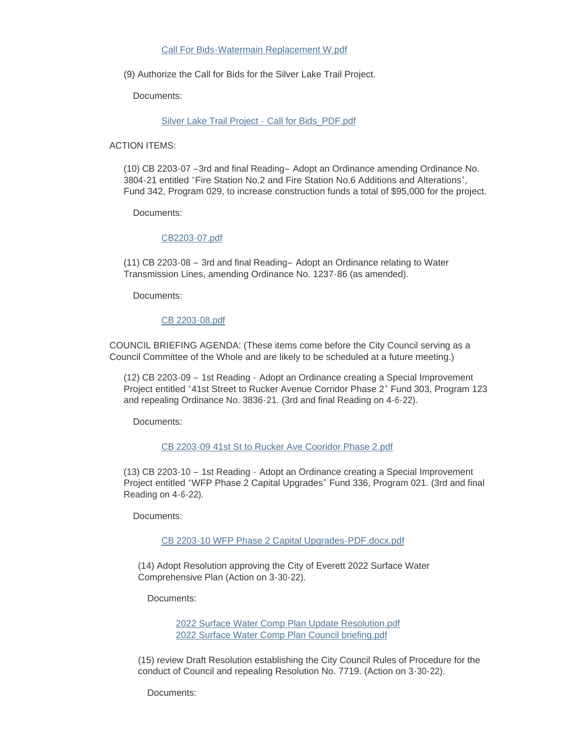#### [Call For Bids-Watermain Replacement W.pdf](https://www.everettwa.gov/AgendaCenter/ViewFile/Item/13503?fileID=80072)

(9) Authorize the Call for Bids for the Silver Lake Trail Project.

Documents:

[Silver Lake Trail Project -](https://www.everettwa.gov/AgendaCenter/ViewFile/Item/13504?fileID=80073) Call for Bids\_PDF.pdf

ACTION ITEMS:

(10) CB 2203-07 –3rd and final Reading– Adopt an Ordinance amending Ordinance No. 3804-21 entitled "Fire Station No.2 and Fire Station No.6 Additions and Alterations", Fund 342, Program 029, to increase construction funds a total of \$95,000 for the project.

Documents:

#### [CB2203-07.pdf](https://www.everettwa.gov/AgendaCenter/ViewFile/Item/13505?fileID=80074)

(11) CB 2203-08 – 3rd and final Reading– Adopt an Ordinance relating to Water Transmission Lines, amending Ordinance No. 1237-86 (as amended).

Documents:

[CB 2203-08.pdf](https://www.everettwa.gov/AgendaCenter/ViewFile/Item/13506?fileID=80075)

COUNCIL BRIEFING AGENDA: (These items come before the City Council serving as a Council Committee of the Whole and are likely to be scheduled at a future meeting.)

(12) CB 2203-09 – 1st Reading - Adopt an Ordinance creating a Special Improvement Project entitled "41st Street to Rucker Avenue Corridor Phase 2" Fund 303, Program 123 and repealing Ordinance No. 3836-21. (3rd and final Reading on 4-6-22).

Documents:

#### [CB 2203-09 41st St to Rucker Ave Cooridor Phase 2.pdf](https://www.everettwa.gov/AgendaCenter/ViewFile/Item/13507?fileID=80076)

(13) CB 2203-10 – 1st Reading - Adopt an Ordinance creating a Special Improvement Project entitled "WFP Phase 2 Capital Upgrades" Fund 336, Program 021. (3rd and final Reading on 4-6-22).

Documents:

[CB 2203-10 WFP Phase 2 Capital Upgrades-PDF.docx.pdf](https://www.everettwa.gov/AgendaCenter/ViewFile/Item/13508?fileID=80077)

(14) Adopt Resolution approving the City of Everett 2022 Surface Water Comprehensive Plan (Action on 3-30-22).

Documents:

[2022 Surface Water Comp Plan Update Resolution.pdf](https://www.everettwa.gov/AgendaCenter/ViewFile/Item/13509?fileID=80078) [2022 Surface Water Comp Plan Council briefing.pdf](https://www.everettwa.gov/AgendaCenter/ViewFile/Item/13509?fileID=80082)

(15) review Draft Resolution establishing the City Council Rules of Procedure for the conduct of Council and repealing Resolution No. 7719. (Action on 3-30-22).

Documents: